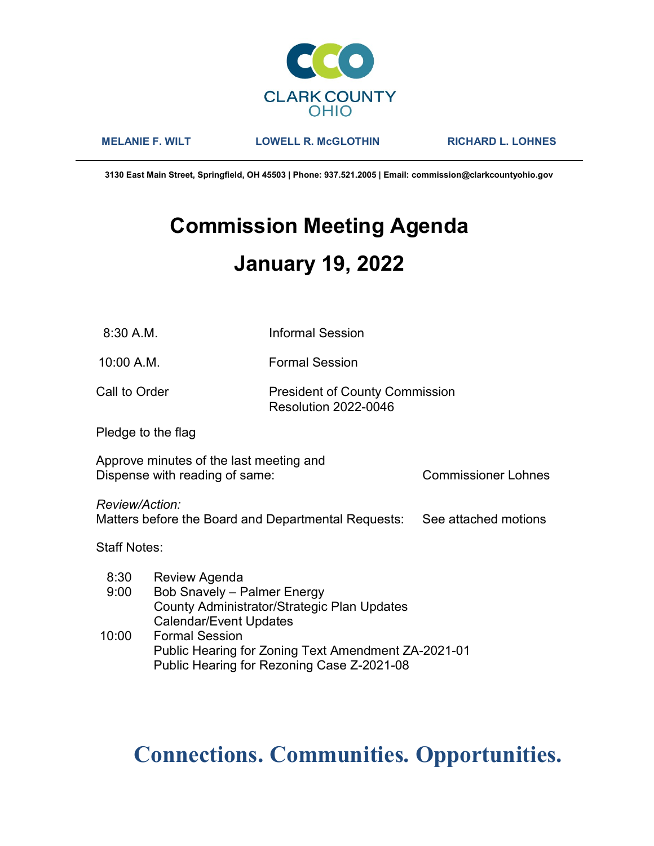

MELANIE F. WILT LOWELL R. McGLOTHIN RICHARD L. LOHNES

3130 East Main Street, Springfield, OH 45503 | Phone: 937.521.2005 | Email: commission@clarkcountyohio.gov

# Commission Meeting Agenda January 19, 2022

8:30 A.M. Informal Session

10:00 A.M. Formal Session

Call to Order **President of County Commission** Resolution 2022-0046

Pledge to the flag

Approve minutes of the last meeting and Dispense with reading of same: Commissioner Lohnes

Review/Action:

Matters before the Board and Departmental Requests: See attached motions

Staff Notes:

| 8:30  | Review Agenda                                       |
|-------|-----------------------------------------------------|
| 9:00  | <b>Bob Snavely - Palmer Energy</b>                  |
|       | County Administrator/Strategic Plan Updates         |
|       | <b>Calendar/Event Updates</b>                       |
| 10:00 | <b>Formal Session</b>                               |
|       | Public Hearing for Zoning Text Amendment ZA-2021-01 |
|       | Public Hearing for Rezoning Case Z-2021-08          |

# Connections. Communities. Opportunities.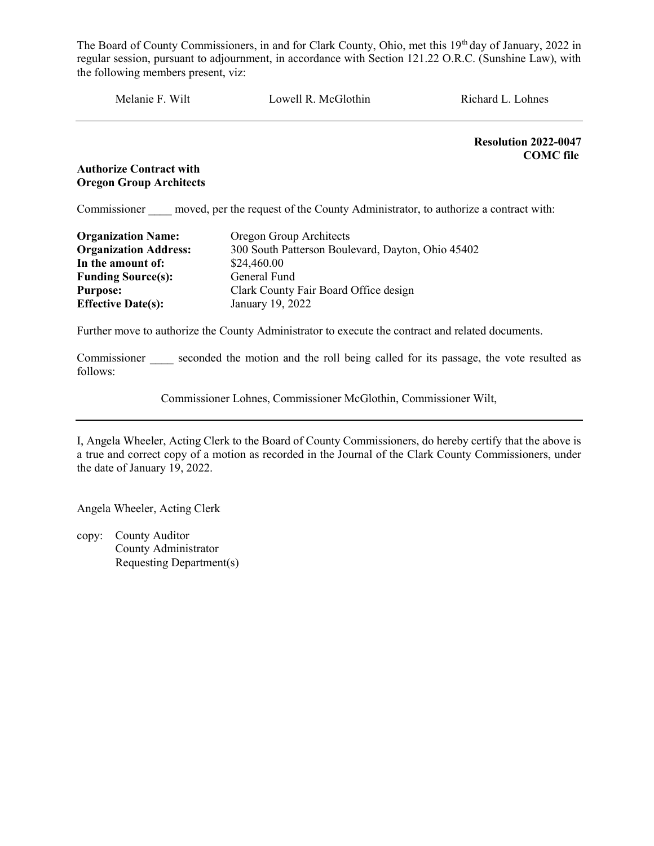Melanie F. Wilt Lowell R. McGlothin Richard L. Lohnes

Resolution 2022-0047 COMC file

# Authorize Contract with Oregon Group Architects

Commissioner moved, per the request of the County Administrator, to authorize a contract with:

| <b>Organization Name:</b>    | Oregon Group Architects                           |
|------------------------------|---------------------------------------------------|
| <b>Organization Address:</b> | 300 South Patterson Boulevard, Dayton, Ohio 45402 |
| In the amount of:            | \$24,460.00                                       |
| <b>Funding Source(s):</b>    | General Fund                                      |
| <b>Purpose:</b>              | Clark County Fair Board Office design             |
| <b>Effective Date(s):</b>    | January 19, 2022                                  |

Further move to authorize the County Administrator to execute the contract and related documents.

Commissioner seconded the motion and the roll being called for its passage, the vote resulted as follows:

Commissioner Lohnes, Commissioner McGlothin, Commissioner Wilt,

I, Angela Wheeler, Acting Clerk to the Board of County Commissioners, do hereby certify that the above is a true and correct copy of a motion as recorded in the Journal of the Clark County Commissioners, under the date of January 19, 2022.

Angela Wheeler, Acting Clerk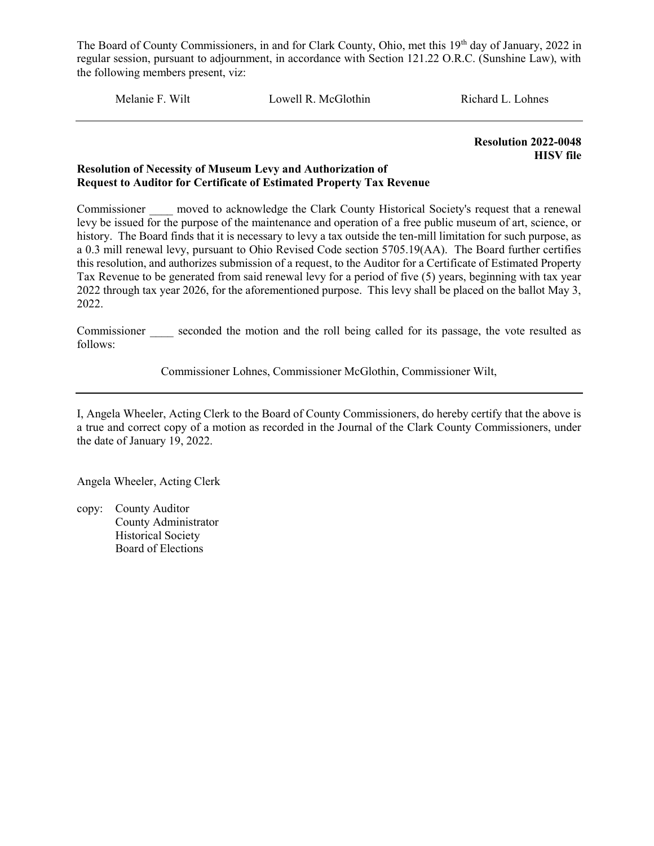Melanie F. Wilt Lowell R. McGlothin Richard L. Lohnes

Resolution 2022-0048 HISV file

### Resolution of Necessity of Museum Levy and Authorization of Request to Auditor for Certificate of Estimated Property Tax Revenue

Commissioner moved to acknowledge the Clark County Historical Society's request that a renewal levy be issued for the purpose of the maintenance and operation of a free public museum of art, science, or history. The Board finds that it is necessary to levy a tax outside the ten-mill limitation for such purpose, as a 0.3 mill renewal levy, pursuant to Ohio Revised Code section 5705.19(AA). The Board further certifies this resolution, and authorizes submission of a request, to the Auditor for a Certificate of Estimated Property Tax Revenue to be generated from said renewal levy for a period of five (5) years, beginning with tax year 2022 through tax year 2026, for the aforementioned purpose. This levy shall be placed on the ballot May 3, 2022.

Commissioner seconded the motion and the roll being called for its passage, the vote resulted as follows:

Commissioner Lohnes, Commissioner McGlothin, Commissioner Wilt,

I, Angela Wheeler, Acting Clerk to the Board of County Commissioners, do hereby certify that the above is a true and correct copy of a motion as recorded in the Journal of the Clark County Commissioners, under the date of January 19, 2022.

Angela Wheeler, Acting Clerk

copy: County Auditor County Administrator Historical Society Board of Elections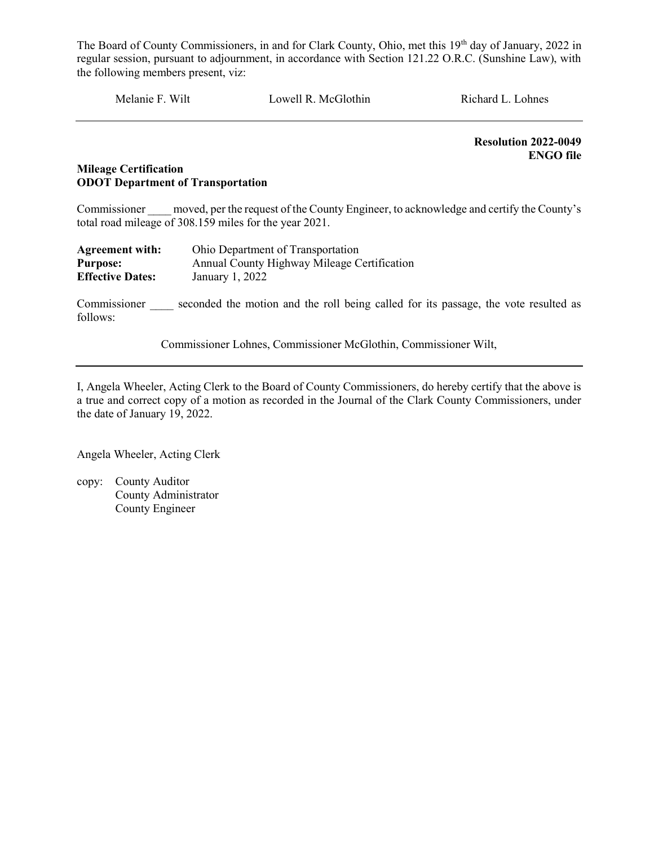Melanie F. Wilt Lowell R. McGlothin Richard L. Lohnes

 Resolution 2022-0049 ENGO file

# Mileage Certification ODOT Department of Transportation

Commissioner moved, per the request of the County Engineer, to acknowledge and certify the County's total road mileage of 308.159 miles for the year 2021.

| <b>Agreement with:</b>  | Ohio Department of Transportation           |
|-------------------------|---------------------------------------------|
| <b>Purpose:</b>         | Annual County Highway Mileage Certification |
| <b>Effective Dates:</b> | January 1, 2022                             |

Commissioner seconded the motion and the roll being called for its passage, the vote resulted as follows:

Commissioner Lohnes, Commissioner McGlothin, Commissioner Wilt,

I, Angela Wheeler, Acting Clerk to the Board of County Commissioners, do hereby certify that the above is a true and correct copy of a motion as recorded in the Journal of the Clark County Commissioners, under the date of January 19, 2022.

Angela Wheeler, Acting Clerk

copy: County Auditor County Administrator County Engineer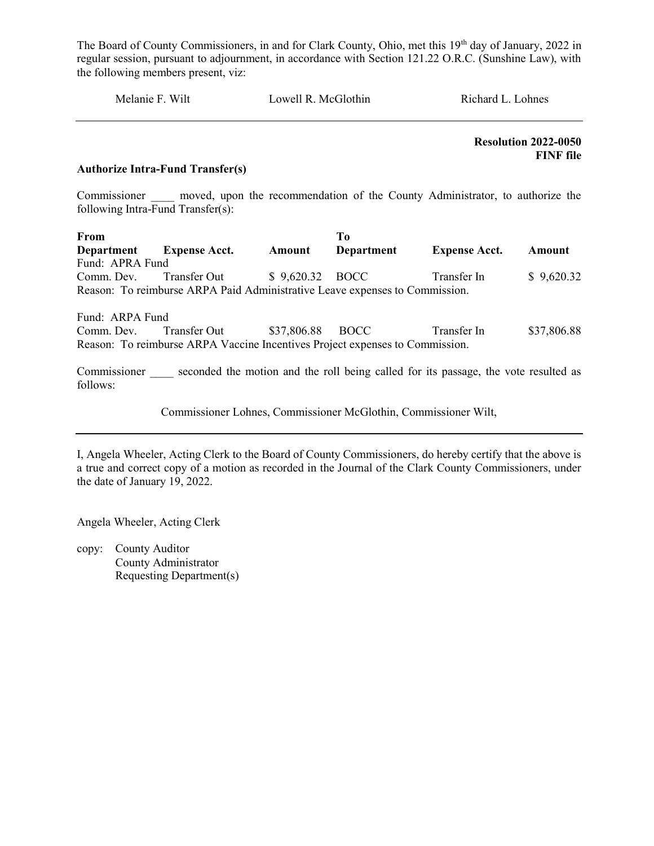| Lowell R. McGlothin<br>Melanie F. Wilt<br>Richard L. Lohnes |
|-------------------------------------------------------------|
|-------------------------------------------------------------|

 Resolution 2022-0050 FINF file

#### Authorize Intra-Fund Transfer(s)

Commissioner and moved, upon the recommendation of the County Administrator, to authorize the following Intra-Fund Transfer(s):

| <b>From</b>       |                                                                             |                 | 'T`o       |                      |            |
|-------------------|-----------------------------------------------------------------------------|-----------------|------------|----------------------|------------|
| <b>Department</b> | <b>Expense Acct.</b>                                                        | Amount          | Department | <b>Expense Acct.</b> | Amount     |
| Fund: APRA Fund   |                                                                             |                 |            |                      |            |
|                   | Comm. Dev. Transfer Out                                                     | \$9,620.32 BOCC |            | Transfer In          | \$9,620.32 |
|                   | Reason: To reimburse ARPA Paid Administrative Leave expenses to Commission. |                 |            |                      |            |

Fund: ARPA Fund Comm. Dev. Transfer Out \$37,806.88 BOCC Transfer In \$37,806.88 Reason: To reimburse ARPA Vaccine Incentives Project expenses to Commission.

Commissioner seconded the motion and the roll being called for its passage, the vote resulted as follows:

Commissioner Lohnes, Commissioner McGlothin, Commissioner Wilt,

I, Angela Wheeler, Acting Clerk to the Board of County Commissioners, do hereby certify that the above is a true and correct copy of a motion as recorded in the Journal of the Clark County Commissioners, under the date of January 19, 2022.

Angela Wheeler, Acting Clerk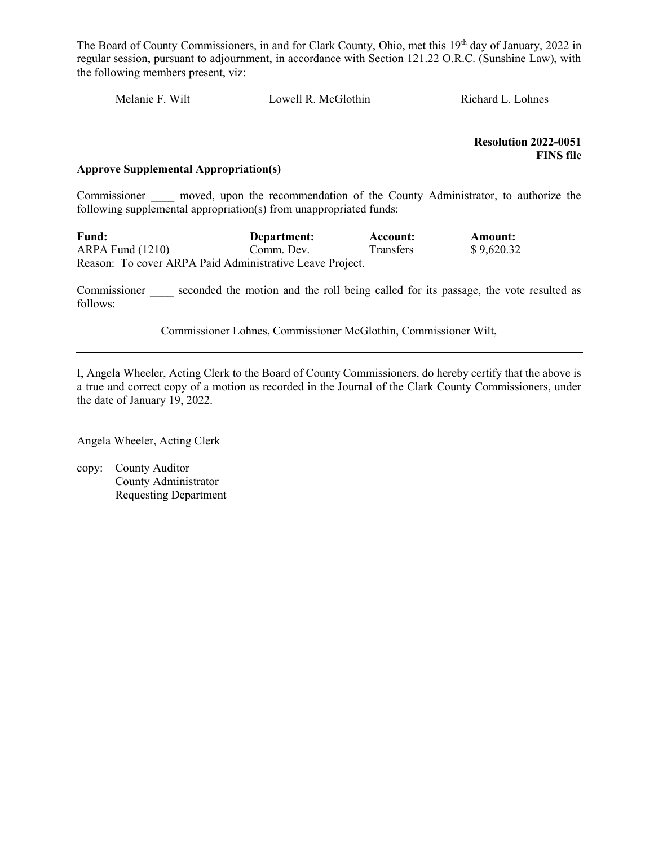| Melanie F. Wilt | Lowell R. McGlothin | Richard L. Lohnes |
|-----------------|---------------------|-------------------|
|                 |                     |                   |

 Resolution 2022-0051 FINS file

#### Approve Supplemental Appropriation(s)

Commissioner and moved, upon the recommendation of the County Administrator, to authorize the following supplemental appropriation(s) from unappropriated funds:

| Fund:                                                    | Department: | Account:         | Amount:    |
|----------------------------------------------------------|-------------|------------------|------------|
| $ARPA$ Fund $(1210)$                                     | Comm. Dev.  | <b>Transfers</b> | \$9,620.32 |
| Reason: To cover ARPA Paid Administrative Leave Project. |             |                  |            |

Commissioner seconded the motion and the roll being called for its passage, the vote resulted as follows:

Commissioner Lohnes, Commissioner McGlothin, Commissioner Wilt,

I, Angela Wheeler, Acting Clerk to the Board of County Commissioners, do hereby certify that the above is a true and correct copy of a motion as recorded in the Journal of the Clark County Commissioners, under the date of January 19, 2022.

Angela Wheeler, Acting Clerk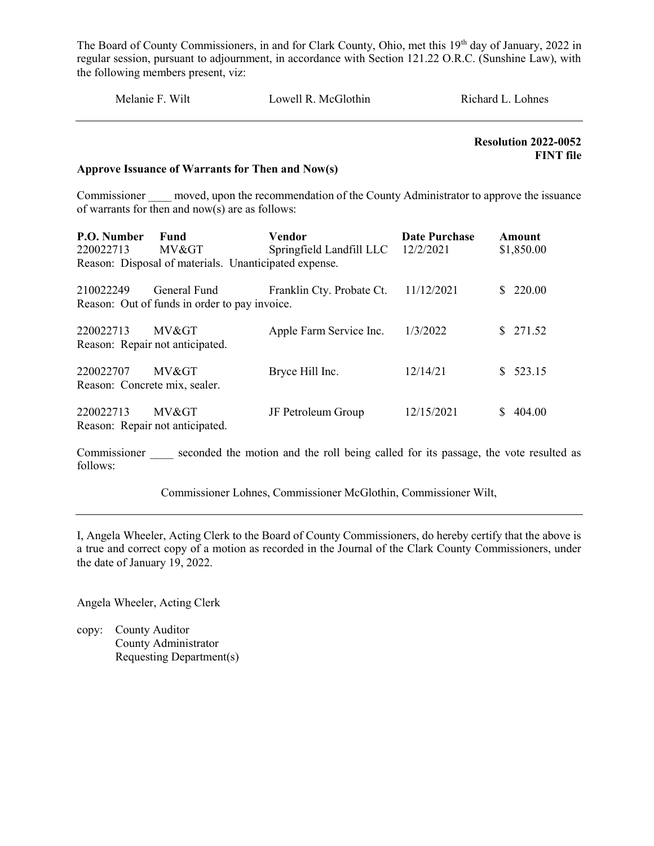| Melanie F. Wilt | Lowell R. McGlothin | Richard L. Lohnes |
|-----------------|---------------------|-------------------|
|                 |                     |                   |

 Resolution 2022-0052 FINT file

#### Approve Issuance of Warrants for Then and Now(s)

Commissioner moved, upon the recommendation of the County Administrator to approve the issuance of warrants for then and now(s) are as follows:

| P.O. Number<br>220022713                   | Fund<br>MV>                                                   | Vendor<br>Springfield Landfill LLC 12/2/2021 | <b>Date Purchase</b> | Amount<br>\$1,850.00 |
|--------------------------------------------|---------------------------------------------------------------|----------------------------------------------|----------------------|----------------------|
|                                            | Reason: Disposal of materials. Unanticipated expense.         |                                              |                      |                      |
| 210022249                                  | General Fund<br>Reason: Out of funds in order to pay invoice. | Franklin Cty. Probate Ct.                    | 11/12/2021           | 220.00<br>S.         |
| 220022713                                  | MV><br>Reason: Repair not anticipated.                        | Apple Farm Service Inc.                      | 1/3/2022             | \$271.52             |
| 220022707<br>Reason: Concrete mix, sealer. | MV>                                                           | Bryce Hill Inc.                              | 12/14/21             | \$523.15             |
| 220022713                                  | MV><br>Reason: Repair not anticipated.                        | JF Petroleum Group                           | 12/15/2021           | 404.00               |

Commissioner seconded the motion and the roll being called for its passage, the vote resulted as follows:

Commissioner Lohnes, Commissioner McGlothin, Commissioner Wilt,

I, Angela Wheeler, Acting Clerk to the Board of County Commissioners, do hereby certify that the above is a true and correct copy of a motion as recorded in the Journal of the Clark County Commissioners, under the date of January 19, 2022.

Angela Wheeler, Acting Clerk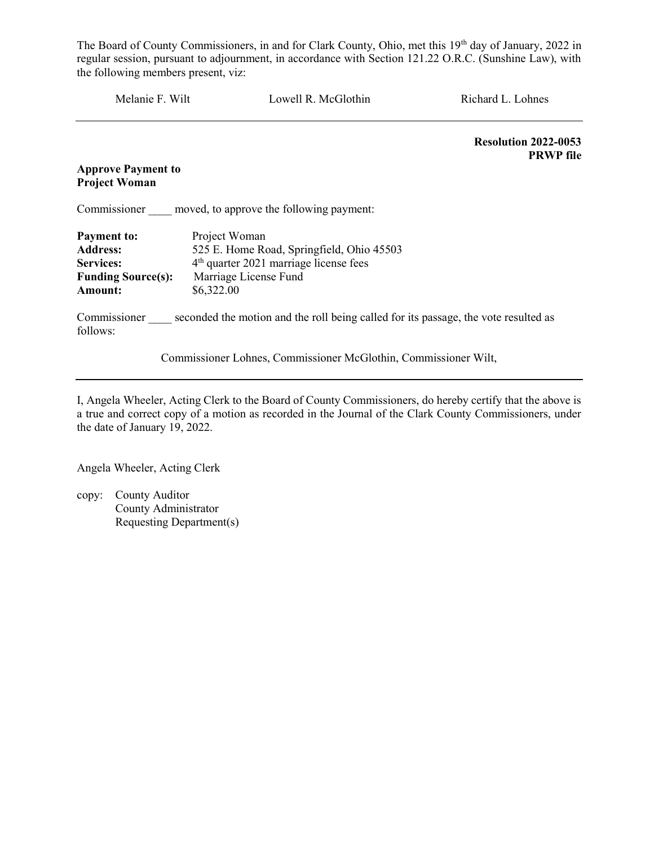| Melanie F. Wilt           | Lowell R. McGlothin                                | Richard L. Lohnes                               |
|---------------------------|----------------------------------------------------|-------------------------------------------------|
|                           |                                                    | <b>Resolution 2022-0053</b><br><b>PRWP</b> file |
| <b>Approve Payment to</b> |                                                    |                                                 |
| <b>Project Woman</b>      |                                                    |                                                 |
| Commissioner              | moved, to approve the following payment:           |                                                 |
| <b>Payment to:</b>        | Project Woman                                      |                                                 |
| <b>Address:</b>           | 525 E. Home Road, Springfield, Ohio 45503          |                                                 |
| <b>Services:</b>          | 4 <sup>th</sup> quarter 2021 marriage license fees |                                                 |
| <b>Funding Source(s):</b> | Marriage License Fund                              |                                                 |
| Amount:                   | \$6,322.00                                         |                                                 |

Commissioner seconded the motion and the roll being called for its passage, the vote resulted as follows:

Commissioner Lohnes, Commissioner McGlothin, Commissioner Wilt,

I, Angela Wheeler, Acting Clerk to the Board of County Commissioners, do hereby certify that the above is a true and correct copy of a motion as recorded in the Journal of the Clark County Commissioners, under the date of January 19, 2022.

Angela Wheeler, Acting Clerk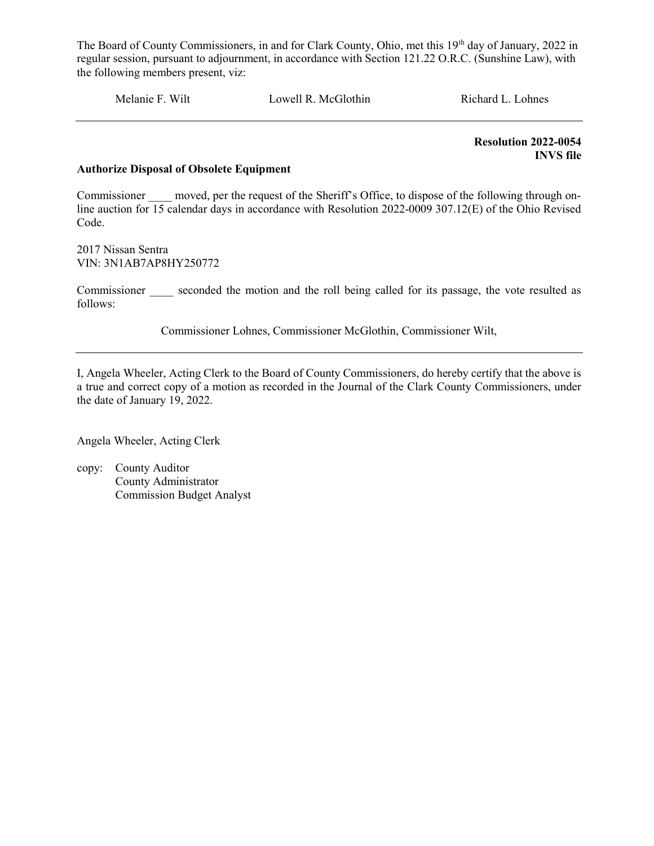Melanie F. Wilt Lowell R. McGlothin Richard L. Lohnes

 Resolution 2022-0054 INVS file

#### Authorize Disposal of Obsolete Equipment

Commissioner moved, per the request of the Sheriff's Office, to dispose of the following through online auction for 15 calendar days in accordance with Resolution 2022-0009 307.12(E) of the Ohio Revised Code.

2017 Nissan Sentra VIN: 3N1AB7AP8HY250772

Commissioner seconded the motion and the roll being called for its passage, the vote resulted as follows:

Commissioner Lohnes, Commissioner McGlothin, Commissioner Wilt,

I, Angela Wheeler, Acting Clerk to the Board of County Commissioners, do hereby certify that the above is a true and correct copy of a motion as recorded in the Journal of the Clark County Commissioners, under the date of January 19, 2022.

Angela Wheeler, Acting Clerk

copy: County Auditor County Administrator Commission Budget Analyst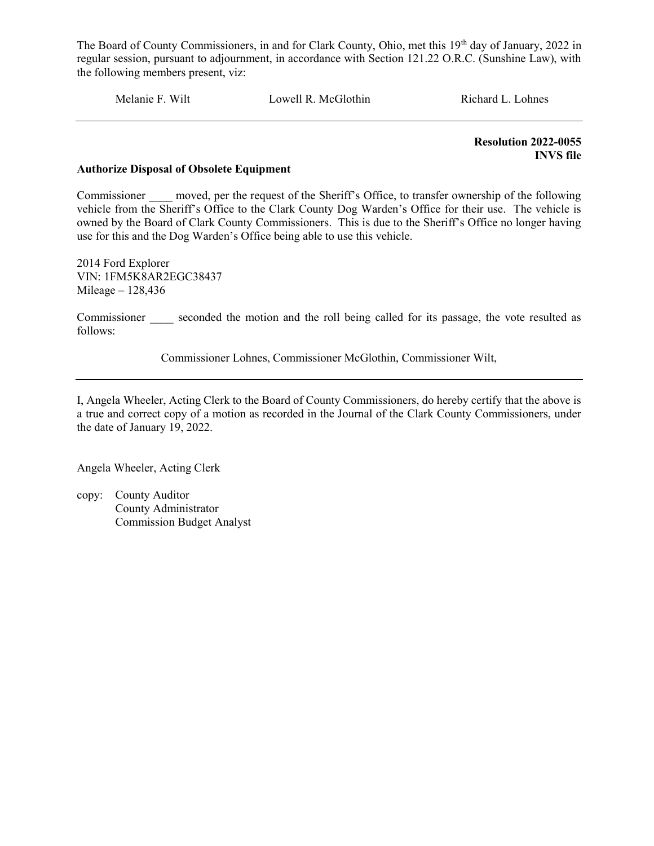Melanie F. Wilt Lowell R. McGlothin Richard L. Lohnes

 Resolution 2022-0055 INVS file

#### Authorize Disposal of Obsolete Equipment

Commissioner moved, per the request of the Sheriff's Office, to transfer ownership of the following vehicle from the Sheriff's Office to the Clark County Dog Warden's Office for their use. The vehicle is owned by the Board of Clark County Commissioners. This is due to the Sheriff's Office no longer having use for this and the Dog Warden's Office being able to use this vehicle.

2014 Ford Explorer VIN: 1FM5K8AR2EGC38437 Mileage – 128,436

Commissioner seconded the motion and the roll being called for its passage, the vote resulted as follows:

Commissioner Lohnes, Commissioner McGlothin, Commissioner Wilt,

I, Angela Wheeler, Acting Clerk to the Board of County Commissioners, do hereby certify that the above is a true and correct copy of a motion as recorded in the Journal of the Clark County Commissioners, under the date of January 19, 2022.

Angela Wheeler, Acting Clerk

copy: County Auditor County Administrator Commission Budget Analyst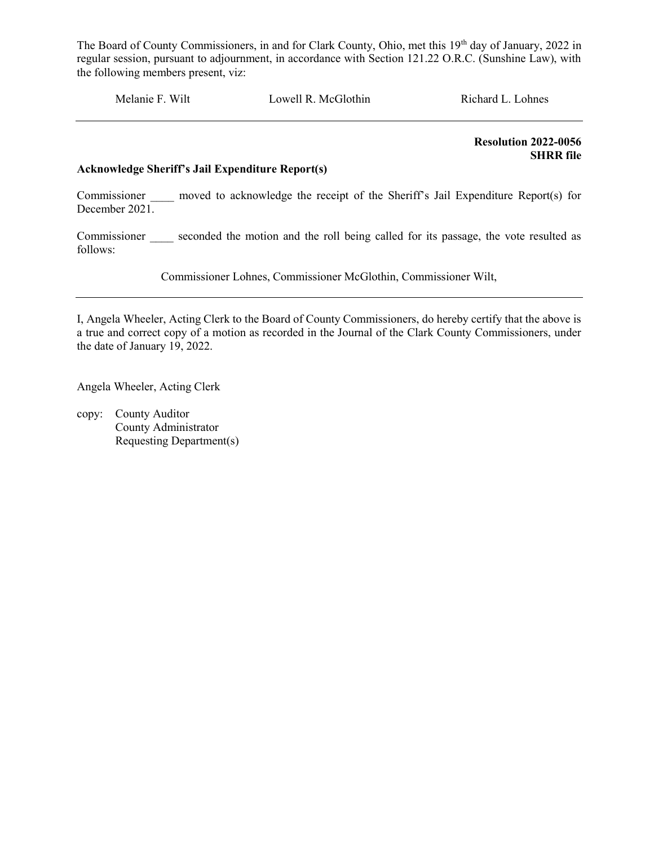Melanie F. Wilt Lowell R. McGlothin Richard L. Lohnes

 Resolution 2022-0056 SHRR file

#### Acknowledge Sheriff's Jail Expenditure Report(s)

Commissioner \_\_\_\_\_ moved to acknowledge the receipt of the Sheriff's Jail Expenditure Report(s) for December 2021.

Commissioner seconded the motion and the roll being called for its passage, the vote resulted as follows:

Commissioner Lohnes, Commissioner McGlothin, Commissioner Wilt,

I, Angela Wheeler, Acting Clerk to the Board of County Commissioners, do hereby certify that the above is a true and correct copy of a motion as recorded in the Journal of the Clark County Commissioners, under the date of January 19, 2022.

Angela Wheeler, Acting Clerk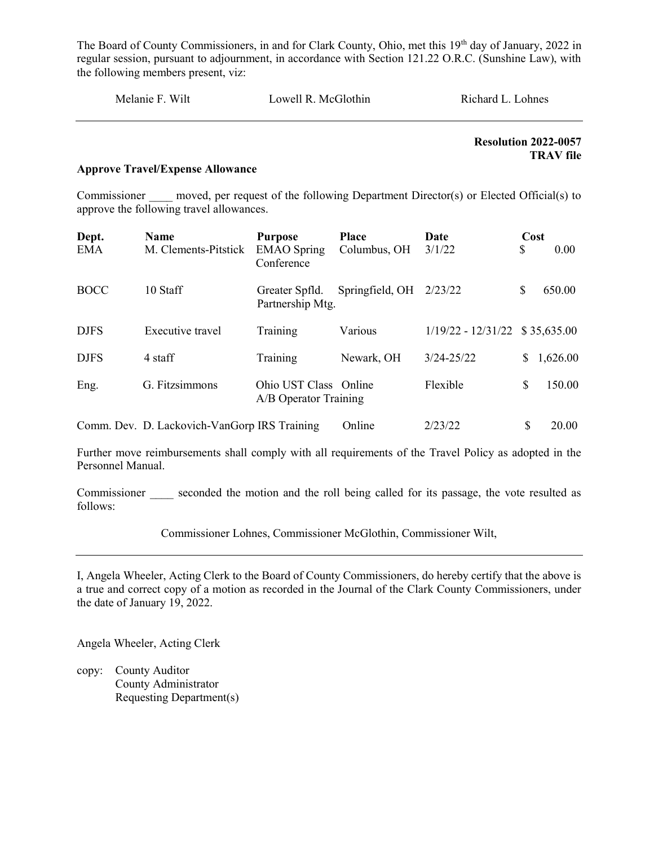| Melanie F. Wilt | Lowell R. McGlothin | Richard L. Lohnes |
|-----------------|---------------------|-------------------|
|                 |                     |                   |

 Resolution 2022-0057 TRAV file

#### Approve Travel/Expense Allowance

Commissioner moved, per request of the following Department Director(s) or Elected Official(s) to approve the following travel allowances.

| Dept.       | <b>Name</b>                                  | <b>Purpose</b>                                 | <b>Place</b>    | Date                             | Cost |          |
|-------------|----------------------------------------------|------------------------------------------------|-----------------|----------------------------------|------|----------|
| <b>EMA</b>  | M. Clements-Pitstick                         | <b>EMAO</b> Spring<br>Conference               | Columbus, OH    | 3/1/22                           | \$   | 0.00     |
| <b>BOCC</b> | 10 Staff                                     | Greater Spfld.<br>Partnership Mtg.             | Springfield, OH | 2/23/22                          | \$   | 650.00   |
| <b>DJFS</b> | Executive travel                             | Training                                       | Various         | $1/19/22 - 12/31/22$ \$35,635.00 |      |          |
| <b>DJFS</b> | 4 staff                                      | Training                                       | Newark, OH      | $3/24 - 25/22$                   | \$   | 1,626.00 |
| Eng.        | G. Fitzsimmons                               | Ohio UST Class Online<br>A/B Operator Training |                 | Flexible                         | \$   | 150.00   |
|             | Comm. Dev. D. Lackovich-VanGorp IRS Training |                                                | Online          | 2/23/22                          | S    | 20.00    |

Further move reimbursements shall comply with all requirements of the Travel Policy as adopted in the Personnel Manual.

Commissioner seconded the motion and the roll being called for its passage, the vote resulted as follows:

Commissioner Lohnes, Commissioner McGlothin, Commissioner Wilt,

I, Angela Wheeler, Acting Clerk to the Board of County Commissioners, do hereby certify that the above is a true and correct copy of a motion as recorded in the Journal of the Clark County Commissioners, under the date of January 19, 2022.

Angela Wheeler, Acting Clerk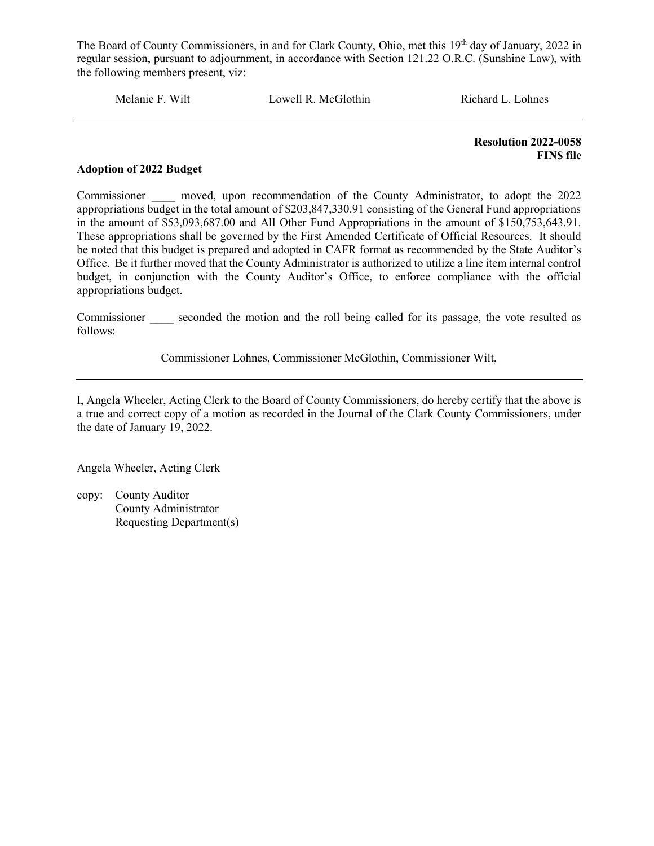Melanie F. Wilt Lowell R. McGlothin Richard L. Lohnes

 Resolution 2022-0058 **FINS** file

#### Adoption of 2022 Budget

Commissioner \_\_\_\_ moved, upon recommendation of the County Administrator, to adopt the 2022 appropriations budget in the total amount of \$203,847,330.91 consisting of the General Fund appropriations in the amount of \$53,093,687.00 and All Other Fund Appropriations in the amount of \$150,753,643.91. These appropriations shall be governed by the First Amended Certificate of Official Resources. It should be noted that this budget is prepared and adopted in CAFR format as recommended by the State Auditor's Office. Be it further moved that the County Administrator is authorized to utilize a line item internal control budget, in conjunction with the County Auditor's Office, to enforce compliance with the official appropriations budget.

Commissioner seconded the motion and the roll being called for its passage, the vote resulted as follows:

Commissioner Lohnes, Commissioner McGlothin, Commissioner Wilt,

I, Angela Wheeler, Acting Clerk to the Board of County Commissioners, do hereby certify that the above is a true and correct copy of a motion as recorded in the Journal of the Clark County Commissioners, under the date of January 19, 2022.

Angela Wheeler, Acting Clerk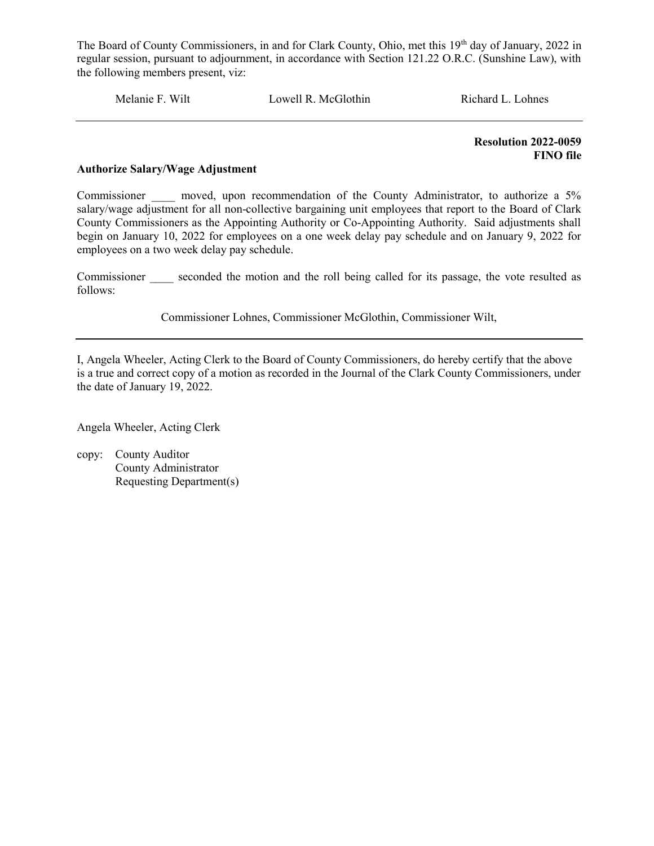Melanie F. Wilt Lowell R. McGlothin Richard L. Lohnes

 Resolution 2022-0059 FINO file

#### Authorize Salary/Wage Adjustment

Commissioner a moved, upon recommendation of the County Administrator, to authorize a 5% salary/wage adjustment for all non-collective bargaining unit employees that report to the Board of Clark County Commissioners as the Appointing Authority or Co-Appointing Authority. Said adjustments shall begin on January 10, 2022 for employees on a one week delay pay schedule and on January 9, 2022 for employees on a two week delay pay schedule.

Commissioner seconded the motion and the roll being called for its passage, the vote resulted as follows:

Commissioner Lohnes, Commissioner McGlothin, Commissioner Wilt,

I, Angela Wheeler, Acting Clerk to the Board of County Commissioners, do hereby certify that the above is a true and correct copy of a motion as recorded in the Journal of the Clark County Commissioners, under the date of January 19, 2022.

Angela Wheeler, Acting Clerk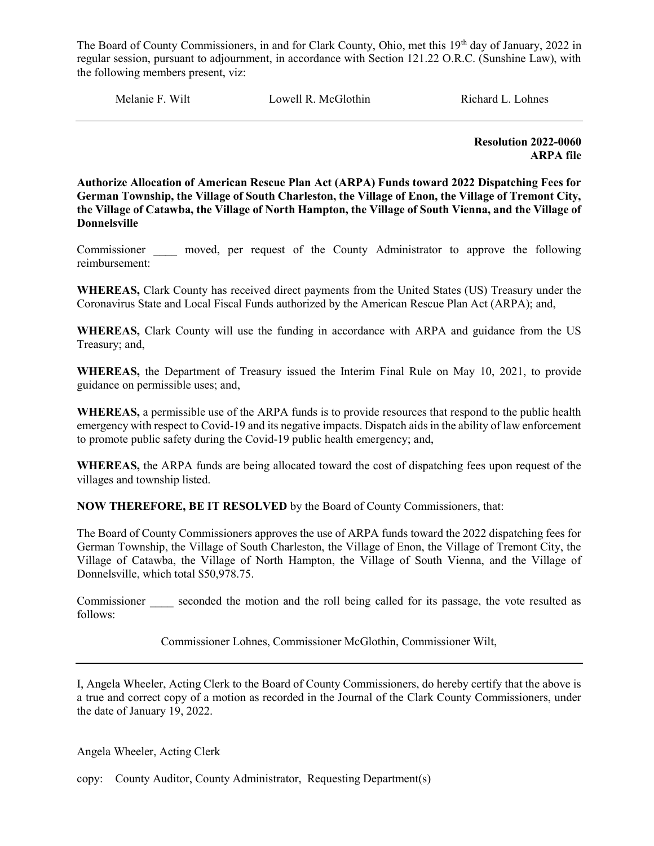Melanie F. Wilt **Lowell R. McGlothin** Richard L. Lohnes

 Resolution 2022-0060 ARPA file

Authorize Allocation of American Rescue Plan Act (ARPA) Funds toward 2022 Dispatching Fees for German Township, the Village of South Charleston, the Village of Enon, the Village of Tremont City, the Village of Catawba, the Village of North Hampton, the Village of South Vienna, and the Village of Donnelsville

Commissioner \_\_\_\_ moved, per request of the County Administrator to approve the following reimbursement:

WHEREAS, Clark County has received direct payments from the United States (US) Treasury under the Coronavirus State and Local Fiscal Funds authorized by the American Rescue Plan Act (ARPA); and,

WHEREAS, Clark County will use the funding in accordance with ARPA and guidance from the US Treasury; and,

WHEREAS, the Department of Treasury issued the Interim Final Rule on May 10, 2021, to provide guidance on permissible uses; and,

WHEREAS, a permissible use of the ARPA funds is to provide resources that respond to the public health emergency with respect to Covid-19 and its negative impacts. Dispatch aids in the ability of law enforcement to promote public safety during the Covid-19 public health emergency; and,

WHEREAS, the ARPA funds are being allocated toward the cost of dispatching fees upon request of the villages and township listed.

NOW THEREFORE, BE IT RESOLVED by the Board of County Commissioners, that:

The Board of County Commissioners approves the use of ARPA funds toward the 2022 dispatching fees for German Township, the Village of South Charleston, the Village of Enon, the Village of Tremont City, the Village of Catawba, the Village of North Hampton, the Village of South Vienna, and the Village of Donnelsville, which total \$50,978.75.

Commissioner seconded the motion and the roll being called for its passage, the vote resulted as follows:

Commissioner Lohnes, Commissioner McGlothin, Commissioner Wilt,

I, Angela Wheeler, Acting Clerk to the Board of County Commissioners, do hereby certify that the above is a true and correct copy of a motion as recorded in the Journal of the Clark County Commissioners, under the date of January 19, 2022.

Angela Wheeler, Acting Clerk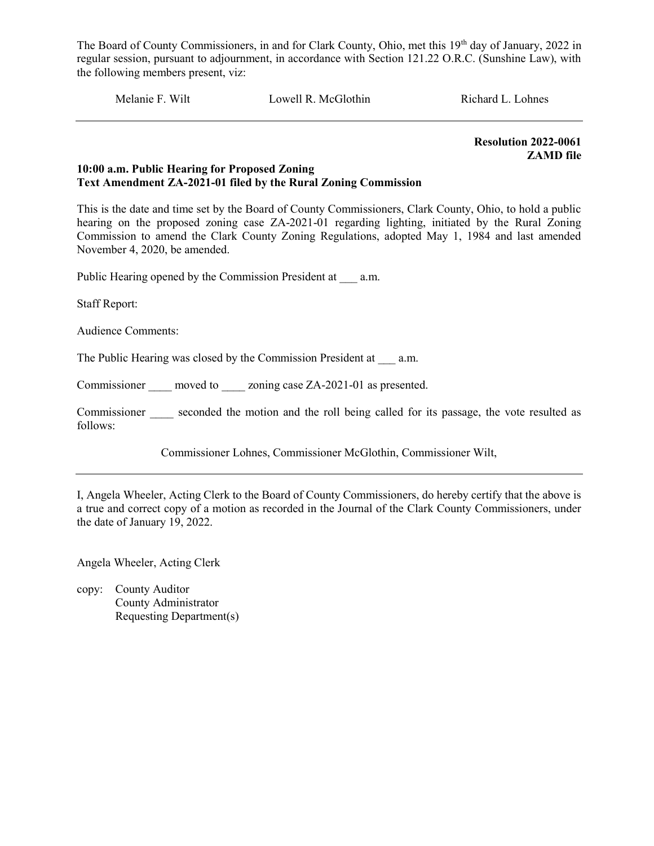Melanie F. Wilt Lowell R. McGlothin Richard L. Lohnes

Resolution 2022-0061 ZAMD file

#### 10:00 a.m. Public Hearing for Proposed Zoning Text Amendment ZA-2021-01 filed by the Rural Zoning Commission

This is the date and time set by the Board of County Commissioners, Clark County, Ohio, to hold a public hearing on the proposed zoning case ZA-2021-01 regarding lighting, initiated by the Rural Zoning Commission to amend the Clark County Zoning Regulations, adopted May 1, 1984 and last amended November 4, 2020, be amended.

Public Hearing opened by the Commission President at \_\_\_ a.m.

Staff Report:

Audience Comments:

The Public Hearing was closed by the Commission President at a.m.

Commissioner moved to zoning case ZA-2021-01 as presented.

Commissioner seconded the motion and the roll being called for its passage, the vote resulted as follows:

Commissioner Lohnes, Commissioner McGlothin, Commissioner Wilt,

I, Angela Wheeler, Acting Clerk to the Board of County Commissioners, do hereby certify that the above is a true and correct copy of a motion as recorded in the Journal of the Clark County Commissioners, under the date of January 19, 2022.

Angela Wheeler, Acting Clerk